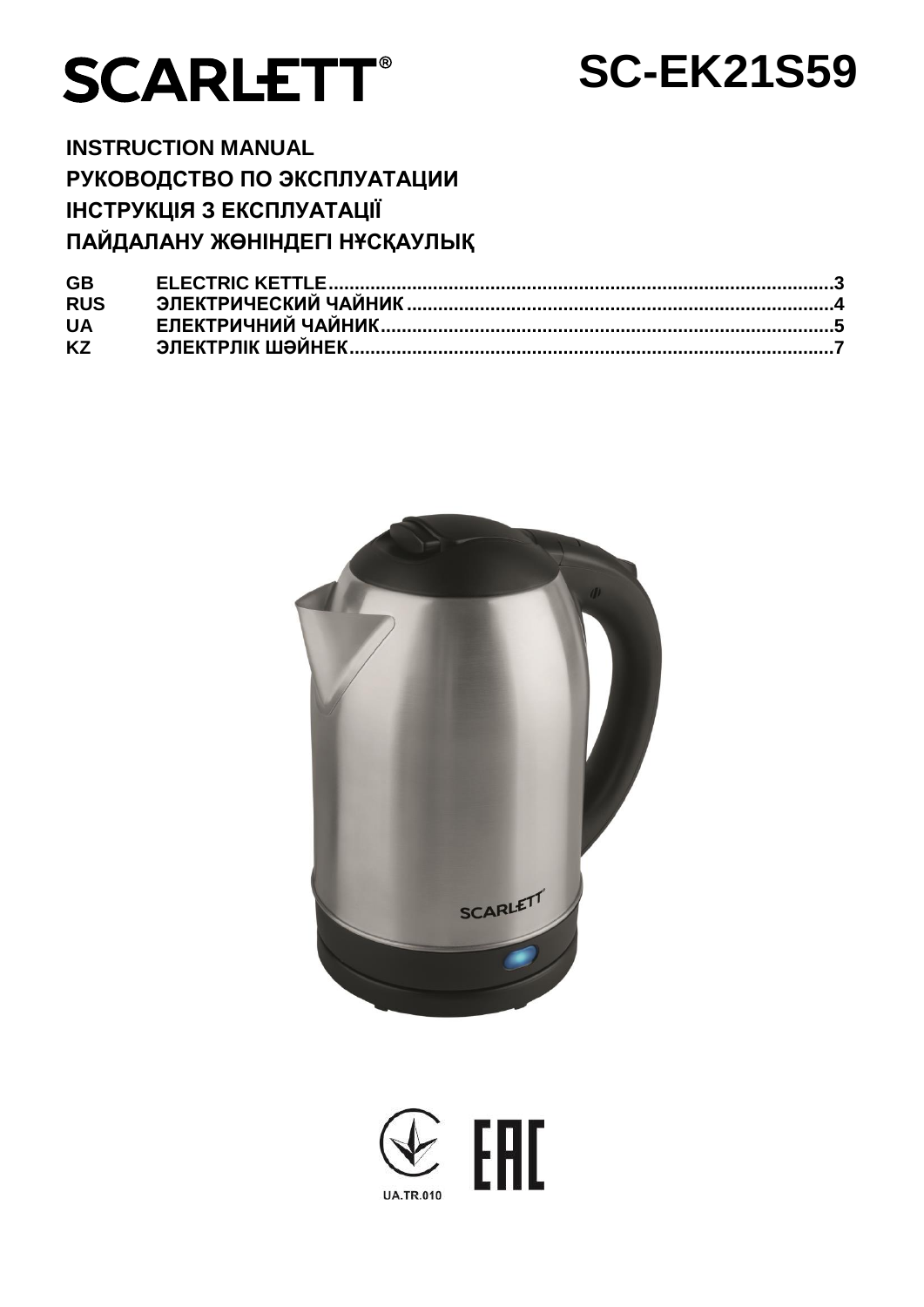

# **SC-EK21S59**

**INSTRUCTION MANUAL РУКОВОДСТВО ПО ЭКСПЛУАТАЦИИ ІНСТРУКЦІЯ З ЕКСПЛУАТАЦІЇ ПАЙДАЛАНУ ЖӨНІНДЕГІ НҰСҚАУЛЫҚ**

| <b>GB</b>  |  |
|------------|--|
| <b>RUS</b> |  |
| <b>UA</b>  |  |
| <b>KZ</b>  |  |



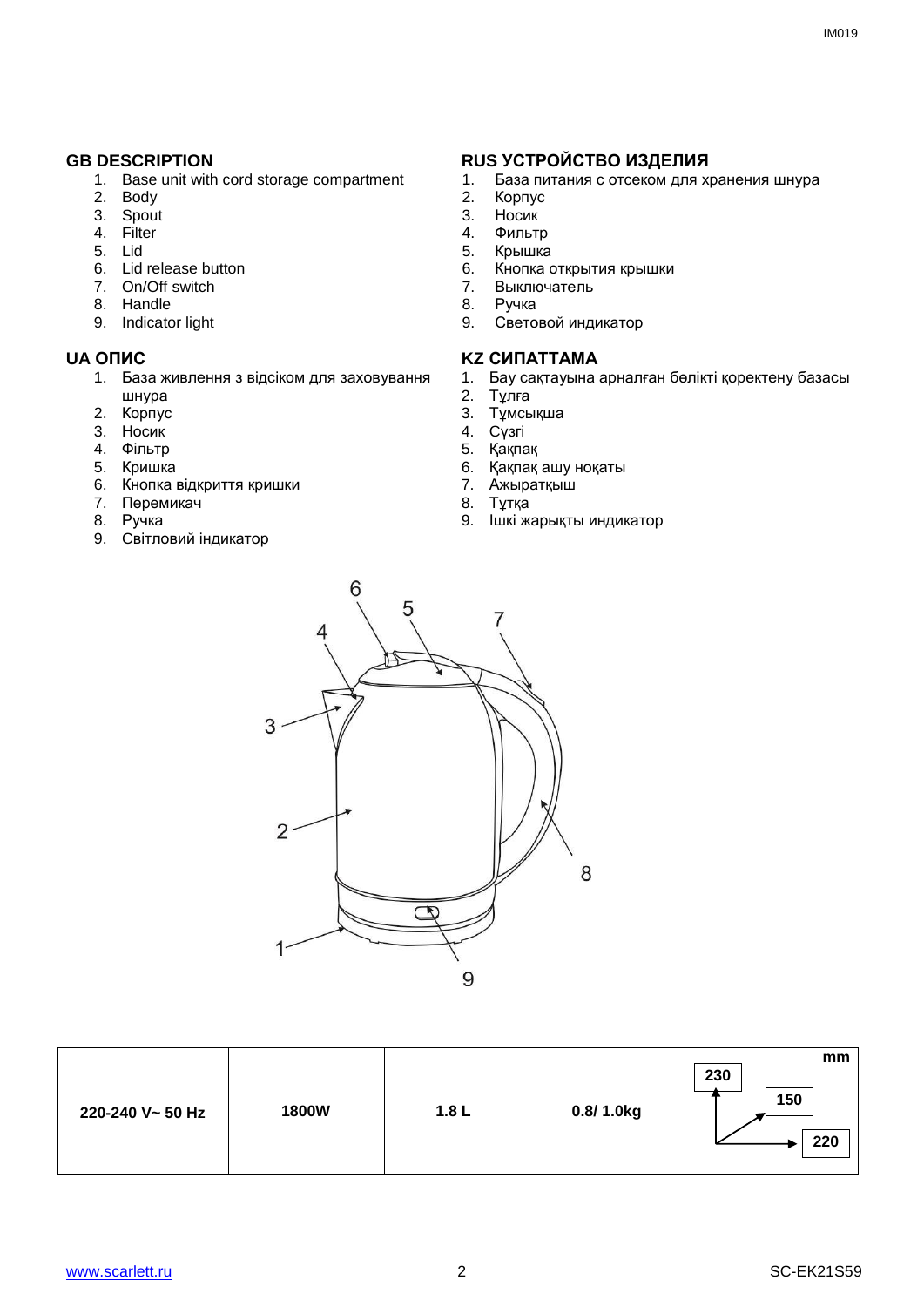- 1. Base unit with cord storage compartment
- 2. Body
- 3. Spout
- 4. Filter
- 5. Lid
- 6. Lid release button
- 7. On/Off switch
- 8. Handle
- 9. Indicator light

- 1. База живлення з відсіком для заховування шнура
- 2. Корпус
- 3. Носик
- 4. Фільтр
- 5. Кришка
- 6. Кнопка відкриття кришки
- 7. Перемикач
- 8. Ручка
- 9. Cвітловий індикатор

#### **GB DESCRIPTION RUS УСТРОЙСТВО ИЗДЕЛИЯ**

- 1. База питания с отсеком для хранения шнура<br>2. Корпус
- Корпус
- 3. Носик<br>4 Фильті
- 
- 4. Фильтр<br>5. Крышка 5. Крышка<br>6. Кнопка
- 6. Кнопка открытия крышки<br>7. Выключатель
- 7. Выключатель
- 8. Ручка
- 9. Световой индикатор

#### **UA ОПИС KZ СИПАТТАМА**

- 1. Бау сақтауына арналған бөлікті қоректену базасы
- 2. Тұлға
- 3. Тұмсықша
- 4. Cүзгі
- 5. Қақпақ
- 6. Қақпақ ашу ноқаты
- 7. Ажыратқыш
- 8. Тұтқа
- 9. Ішкі жарықты индикатор



**220-240 V~ 50 Hz 1800W 1.8 L 0.8/ 1.0kg mm 230 150 220**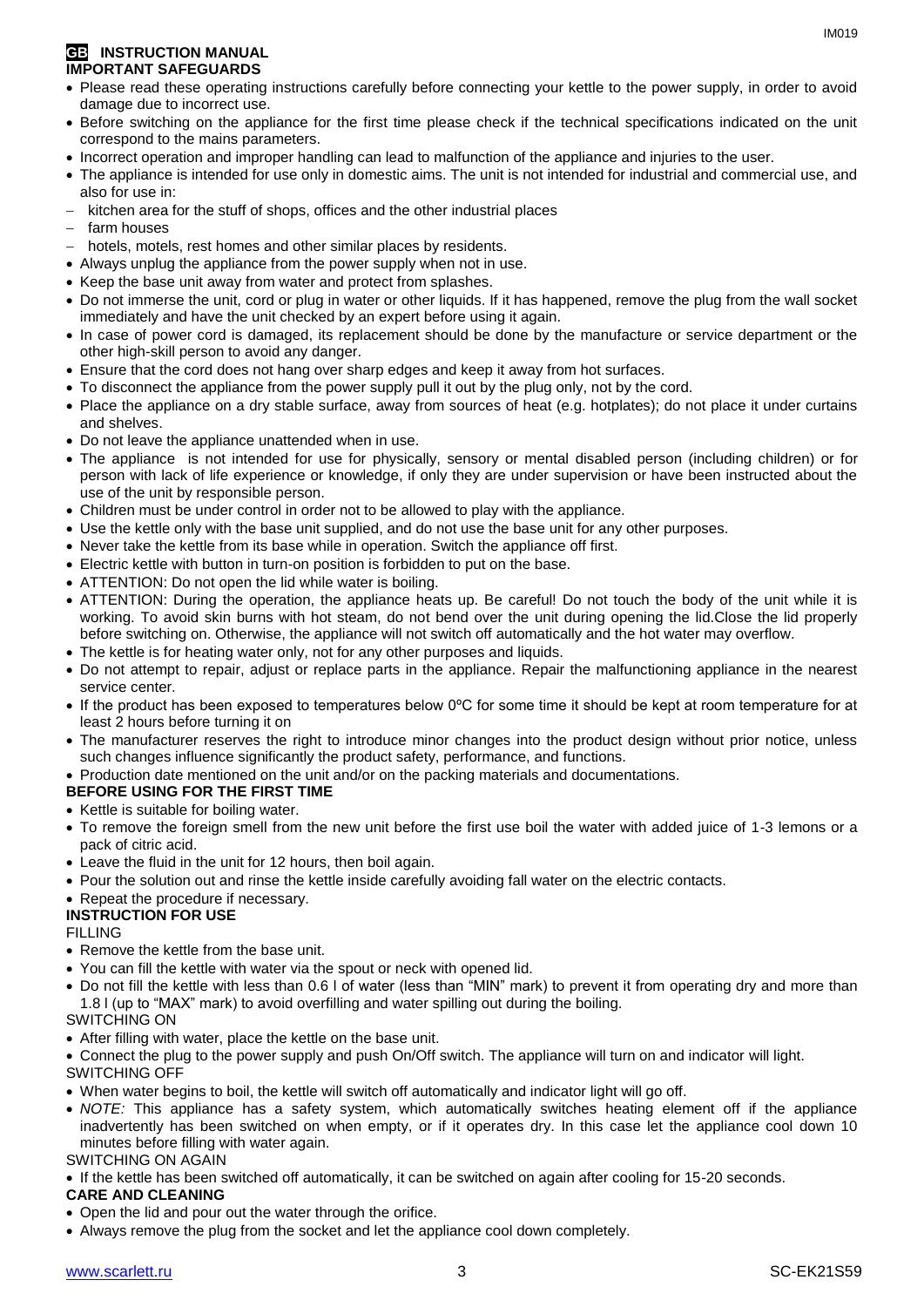#### **GB INSTRUCTION MANUAL IMPORTANT SAFEGUARDS**

- Please read these operating instructions carefully before connecting your kettle to the power supply, in order to avoid damage due to incorrect use.
- Before switching on the appliance for the first time please check if the technical specifications indicated on the unit correspond to the mains parameters.
- Incorrect operation and improper handling can lead to malfunction of the appliance and injuries to the user.
- The appliance is intended for use only in domestic aims. The unit is not intended for industrial and commercial use, and also for use in:
- kitchen area for the stuff of shops, offices and the other industrial places
- farm houses
- hotels, motels, rest homes and other similar places by residents.
- Always unplug the appliance from the power supply when not in use.
- Keep the base unit away from water and protect from splashes.
- Do not immerse the unit, cord or plug in water or other liquids. If it has happened, remove the plug from the wall socket immediately and have the unit checked by an expert before using it again.
- In case of power cord is damaged, its replacement should be done by the manufacture or service department or the other high-skill person to avoid any danger.
- Ensure that the cord does not hang over sharp edges and keep it away from hot surfaces.
- To disconnect the appliance from the power supply pull it out by the plug only, not by the cord.
- Place the appliance on a dry stable surface, away from sources of heat (e.g. hotplates); do not place it under curtains and shelves.
- Do not leave the appliance unattended when in use.
- The appliance is not intended for use for [physically, sensory or mental disabled](https://www.multitran.ru/c/m.exe?t=5841801_1_2&s1=%F7%E5%EB%EE%E2%E5%EA%20%F1%20%EE%E3%F0%E0%ED%E8%F7%E5%ED%ED%FB%EC%E8%20%E2%EE%E7%EC%EE%E6%ED%EE%F1%F2%FF%EC%E8) person (including children) or for person with lack of life experience or knowledge, if only they are under supervision or have been instructed about the use of the unit by responsible person.
- Children must be under control in order not to be allowed to play with the appliance.
- Use the kettle only with the base unit supplied, and do not use the base unit for any other purposes.
- Never take the kettle from its base while in operation. Switch the appliance off first.
- Electric kettle with button in turn-on position is forbidden to put on the base.
- ATTENTION: Do not open the lid while water is boiling.
- ATTENTION: During the operation, the appliance heats up. Be careful! Do not touch the body of the unit while it is working. To avoid skin burns with hot steam, do not bend over the unit during opening the lid.Close the lid properly before switching on. Otherwise, the appliance will not switch off automatically and the hot water may overflow.
- The kettle is for heating water only, not for any other purposes and liquids.
- Do not attempt to repair, adjust or replace parts in the appliance. Repair the malfunctioning appliance in the nearest service center.
- If the product has been exposed to temperatures below 0ºC for some time it should be kept at room temperature for at least 2 hours before turning it on
- The manufacturer reserves the right to introduce minor changes into the product design without prior notice, unless such changes influence significantly the product safety, performance, and functions.
- Production date mentioned on the unit and/or on the packing materials and documentations.

#### **BEFORE USING FOR THE FIRST TIME**

- Kettle is suitable for boiling water.
- To remove the foreign smell from the new unit before the first use boil the water with added juice of 1-3 lemons or a pack of citric acid.
- Leave the fluid in the unit for 12 hours, then boil again.
- Pour the solution out and rinse the kettle inside carefully avoiding fall water on the electric contacts.

#### • Repeat the procedure if necessary.

#### **INSTRUCTION FOR USE**

FILLING

- Remove the kettle from the base unit.
- You can fill the kettle with water via the spout or neck with opened lid.
- Do not fill the kettle with less than 0.6 l of water (less than "MIN" mark) to prevent it from operating dry and more than 1.8 l (up to "MAX" mark) to avoid overfilling and water spilling out during the boiling.

## SWITCHING ON

After filling with water, place the kettle on the base unit.

 Connect the plug to the power supply and push On/Off switch. The appliance will turn on and indicator will light. SWITCHING OFF

- When water begins to boil, the kettle will switch off automatically and indicator light will go off.
- *NOTE:* This appliance has a safety system, which automatically switches heating element off if the appliance inadvertently has been switched on when empty, or if it operates dry. In this case let the appliance cool down 10 minutes before filling with water again.

#### SWITCHING ON AGAIN

If the kettle has been switched off automatically, it can be switched on again after cooling for 15-20 seconds.

#### **CARE AND CLEANING**

- Open the lid and pour out the water through the orifice.
- Always remove the plug from the socket and let the appliance cool down completely.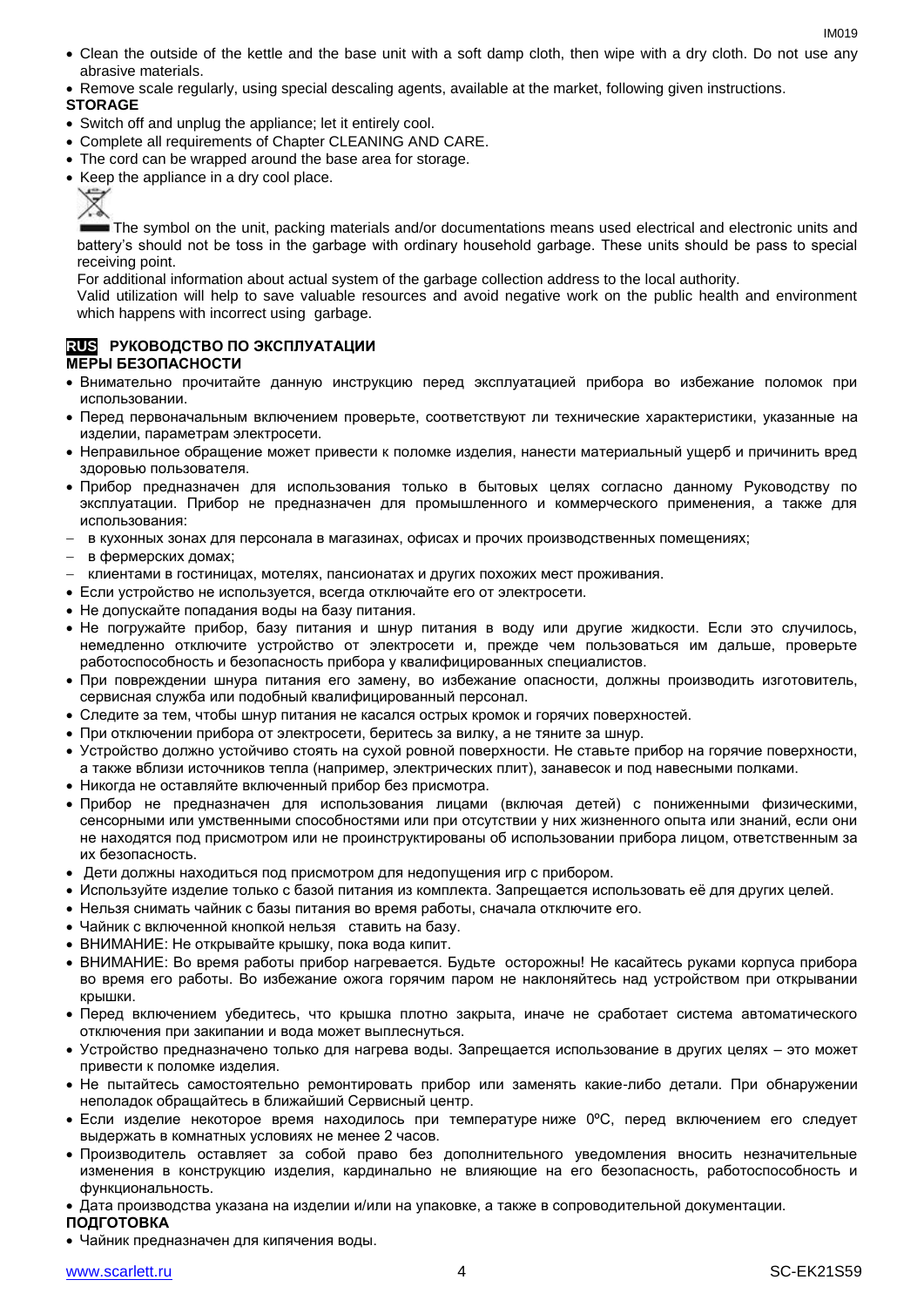- Clean the outside of the kettle and the base unit with a soft damp cloth, then wipe with a dry cloth. Do not use any abrasive materials.
- Remove scale regularly, using special descaling agents, available at the market, following given instructions.

#### **STORAGE**

- Switch off and unplug the appliance; let it entirely cool.
- Complete all requirements of Chapter CLEANING AND CARE.
- The cord can be wrapped around the base area for storage.
- Keep the appliance in a dry cool place.



The symbol on the unit, packing materials and/or documentations means used electrical and electronic units and battery's should not be toss in the garbage with ordinary household garbage. These units should be pass to special receiving point.

For additional information about actual system of the garbage collection address to the local authority.

Valid utilization will help to save valuable resources and avoid negative work on the public health and environment which happens with incorrect using garbage.

#### **RUS РУКОВОДСТВО ПО ЭКСПЛУАТАЦИИ МЕРЫ БЕЗОПАСНОСТИ**

- Внимательно прочитайте данную инструкцию перед эксплуатацией прибора во избежание поломок при использовании.
- Перед первоначальным включением проверьте, соответствуют ли технические характеристики, указанные на изделии, параметрам электросети.
- Неправильное обращение может привести к поломке изделия, нанести материальный ущерб и причинить вред здоровью пользователя.
- Прибор предназначен для использования только в бытовых целях согласно данному Руководству по эксплуатации. Прибор не предназначен для промышленного и коммерческого применения, а также для использования:
- в кухонных зонах для персонала в магазинах, офисах и прочих производственных помещениях;
- в фермерских домах;
- клиентами в гостиницах, мотелях, пансионатах и других похожих мест проживания.
- Если устройство не используется, всегда отключайте его от электросети.
- Не допускайте попадания воды на базу питания.
- Не погружайте прибор, базу питания и шнур питания в воду или другие жидкости. Если это случилось, немедленно отключите устройство от электросети и, прежде чем пользоваться им дальше, проверьте работоспособность и безопасность прибора у квалифицированных специалистов.
- При повреждении шнура питания его замену, во избежание опасности, должны производить изготовитель, сервисная служба или подобный квалифицированный персонал.
- Следите за тем, чтобы шнур питания не касался острых кромок и горячих поверхностей.
- При отключении прибора от электросети, беритесь за вилку, а не тяните за шнур.
- Устройство должно устойчиво стоять на сухой ровной поверхности. Не ставьте прибор на горячие поверхности, а также вблизи источников тепла (например, электрических плит), занавесок и под навесными полками.
- Никогда не оставляйте включенный прибор без присмотра.
- Прибор не предназначен для использования лицами (включая детей) с пониженными физическими, сенсорными или умственными способностями или при отсутствии у них жизненного опыта или знаний, если они не находятся под присмотром или не проинструктированы об использовании прибора лицом, ответственным за их безопасность.
- Дети должны находиться под присмотром для недопущения игр с прибором.
- Используйте изделие только с базой питания из комплекта. Запрещается использовать её для других целей.
- Нельзя снимать чайник с базы питания во время работы, сначала отключите его.
- Чайник с включенной кнопкой нельзя ставить на базу.
- ВНИМАНИЕ: Не открывайте крышку, пока вода кипит.
- ВНИМАНИЕ: Во время работы прибор нагревается. Будьте осторожны! Не касайтесь руками корпуса прибора во время его работы. Во избежание ожога горячим паром не наклоняйтесь над устройством при открывании крышки.
- Перед включением убедитесь, что крышка плотно закрыта, иначе не сработает система автоматического отключения при закипании и вода может выплеснуться.
- Устройство предназначено только для нагрева воды. Запрещается использование в других целях это может привести к поломке изделия.
- Не пытайтесь самостоятельно ремонтировать прибор или заменять какие-либо детали. При обнаружении неполадок обращайтесь в ближайший Сервисный центр.
- $\bullet$  Если изделие некоторое время находилось при температурениже 0°С, перед включением его следует выдержать в комнатных условиях не менее 2 часов.
- Производитель оставляет за собой право без дополнительного уведомления вносить незначительные изменения в конструкцию изделия, кардинально не влияющие на его безопасность, работоспособность и функциональность.
- Дата производства указана на изделии и/или на упаковке, а также в сопроводительной документации.
- **ПОДГОТОВКА**
- Чайник предназначен для кипячения воды.

IM<sub>019</sub>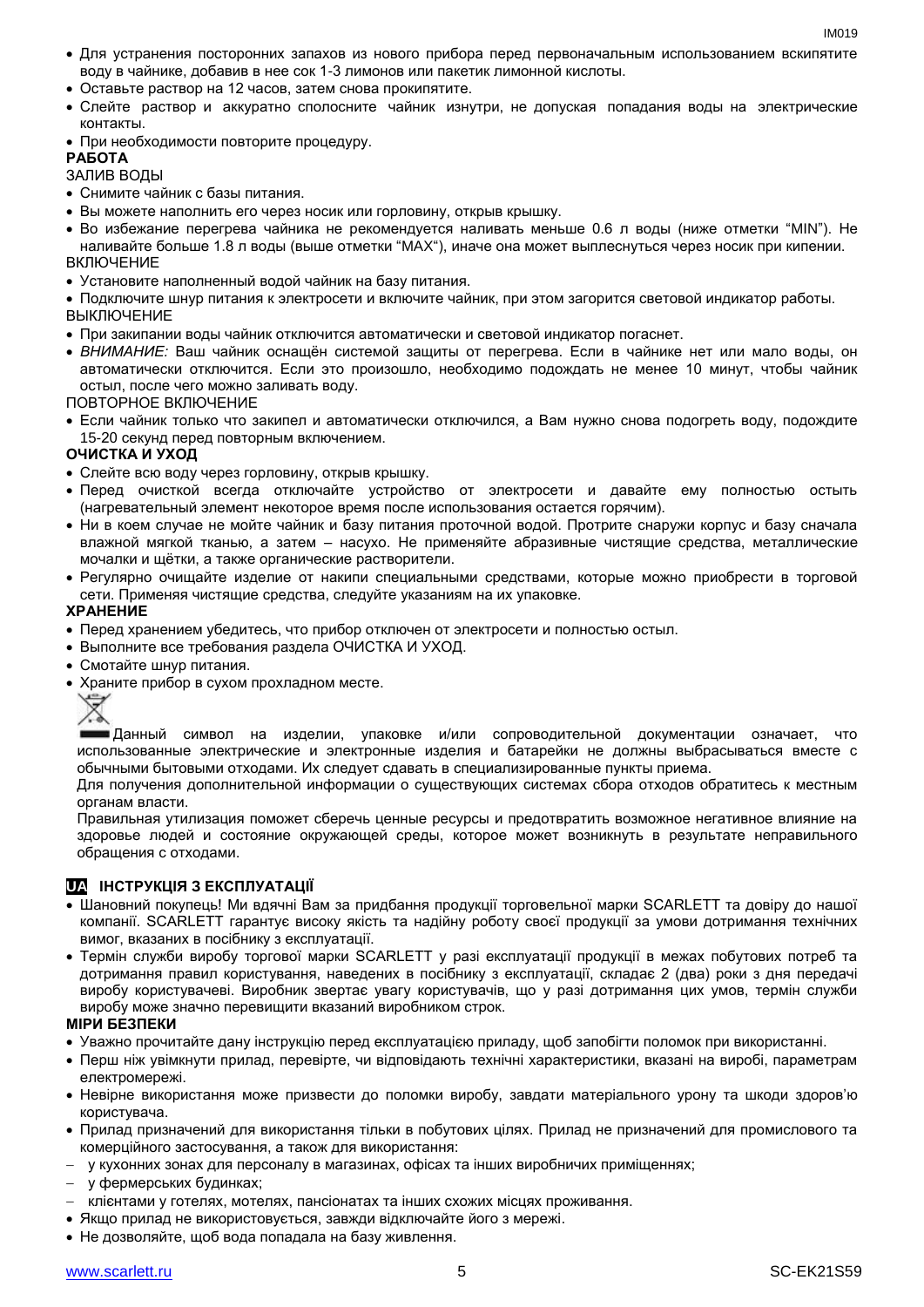- Для устранения посторонних запахов из нового прибора перед первоначальным использованием вскипятите воду в чайнике, добавив в нее сок 1-3 лимонов или пакетик лимонной кислоты.
- Оставьте раствор на 12 часов, затем снова прокипятите.
- Слейте раствор и аккуратно сполосните чайник изнутри, не допуская попадания воды на электрические контакты.
- При необходимости повторите процедуру.

#### **РАБОТА**

#### ЗАЛИВ ВОДЫ

- Снимите чайник с базы питания.
- Вы можете наполнить его через носик или горловину, открыв крышку.
- Во избежание перегрева чайника не рекомендуется наливать меньше 0.6 л воды (ниже отметки "MIN"). Не наливайте больше 1.8 л воды (выше отметки "MAX"), иначе она может выплеснуться через носик при кипении. ВКЛЮЧЕНИЕ
- Установите наполненный водой чайник на базу питания.

 Подключите шнур питания к электросети и включите чайник, при этом загорится световой индикатор работы. ВЫКЛЮЧЕНИЕ

- При закипании воды чайник отключится автоматически и световой индикатор погаснет.
- *ВНИМАНИЕ:* Ваш чайник оснащён системой защиты от перегрева. Если в чайнике нет или мало воды, он автоматически отключится. Если это произошло, необходимо подождать не менее 10 минут, чтобы чайник остыл, после чего можно заливать воду.

ПОВТОРНОЕ ВКЛЮЧЕНИЕ

 Если чайник только что закипел и автоматически отключился, а Вам нужно снова подогреть воду, подождите 15-20 секунд перед повторным включением.

#### **ОЧИСТКА И УХОД**

- Слейте всю воду через горловину, открыв крышку.
- Перед очисткой всегда отключайте устройство от электросети и давайте ему полностью остыть (нагревательный элемент некоторое время после использования остается горячим).
- Ни в коем случае не мойте чайник и базу питания проточной водой. Протрите снаружи корпус и базу сначала влажной мягкой тканью, а затем – насухо. Не применяйте абразивные чистящие средства, металлические мочалки и щётки, а также органические растворители.
- Регулярно очищайте изделие от накипи специальными средствами, которые можно приобрести в торговой сети. Применяя чистящие средства, следуйте указаниям на их упаковке.

#### **ХРАНЕНИЕ**

- Перед хранением убедитесь, что прибор отключен от электросети и полностью остыл.
- Выполните все требования раздела ОЧИСТКА И УХОД.
- Смотайте шнур питания.
- Храните прибор в сухом прохладном месте.



Данный символ на изделии, упаковке и/или сопроводительной документации означает, что использованные электрические и электронные изделия и батарейки не должны выбрасываться вместе с обычными бытовыми отходами. Их следует сдавать в специализированные пункты приема.

Для получения дополнительной информации о существующих системах сбора отходов обратитесь к местным органам власти.

Правильная утилизация поможет сберечь ценные ресурсы и предотвратить возможное негативное влияние на здоровье людей и состояние окружающей среды, которое может возникнуть в результате неправильного обращения с отходами.

#### **UA ІНСТРУКЦІЯ З ЕКСПЛУАТАЦІЇ**

- Шановний покупець! Ми вдячні Вам за придбання продукції торговельної марки SCARLETT та довіру до нашої компанії. SCARLETT гарантує високу якість та надійну роботу своєї продукції за умови дотримання технічних вимог, вказаних в посібнику з експлуатації.
- Термін служби виробу торгової марки SCARLETT у разі експлуатації продукції в межах побутових потреб та дотримання правил користування, наведених в посібнику з експлуатації, складає 2 (два) роки з дня передачі виробу користувачеві. Виробник звертає увагу користувачів, що у разі дотримання цих умов, термін служби виробу може значно перевищити вказаний виробником строк.

#### **МІРИ БЕЗПЕКИ**

- Уважно прочитайте дану інструкцію перед експлуатацією приладу, щоб запобігти поломок при використанні.
- Перш ніж увімкнути прилад, перевірте, чи відповідають технічні характеристики, вказані на виробі, параметрам електромережі.
- Невiрне використання може призвести до поломки виробу, завдати матеріального урону та шкоди здоров'ю користувача.
- Прилад призначений для використання тільки в побутових цілях. Прилад не призначений для промислового та комерційного застосування, а також для використання:
- у кухонних зонах для персоналу в магазинах, офісах та інших виробничих приміщеннях;
- у фермерських будинках;
- клієнтами у готелях, мотелях, пансіонатах та інших схожих місцях проживання.
- Якщо прилад не використовується, завжди відключайте його з мережі.
- Не дозволяйте, щоб вода попадала на базу живлення.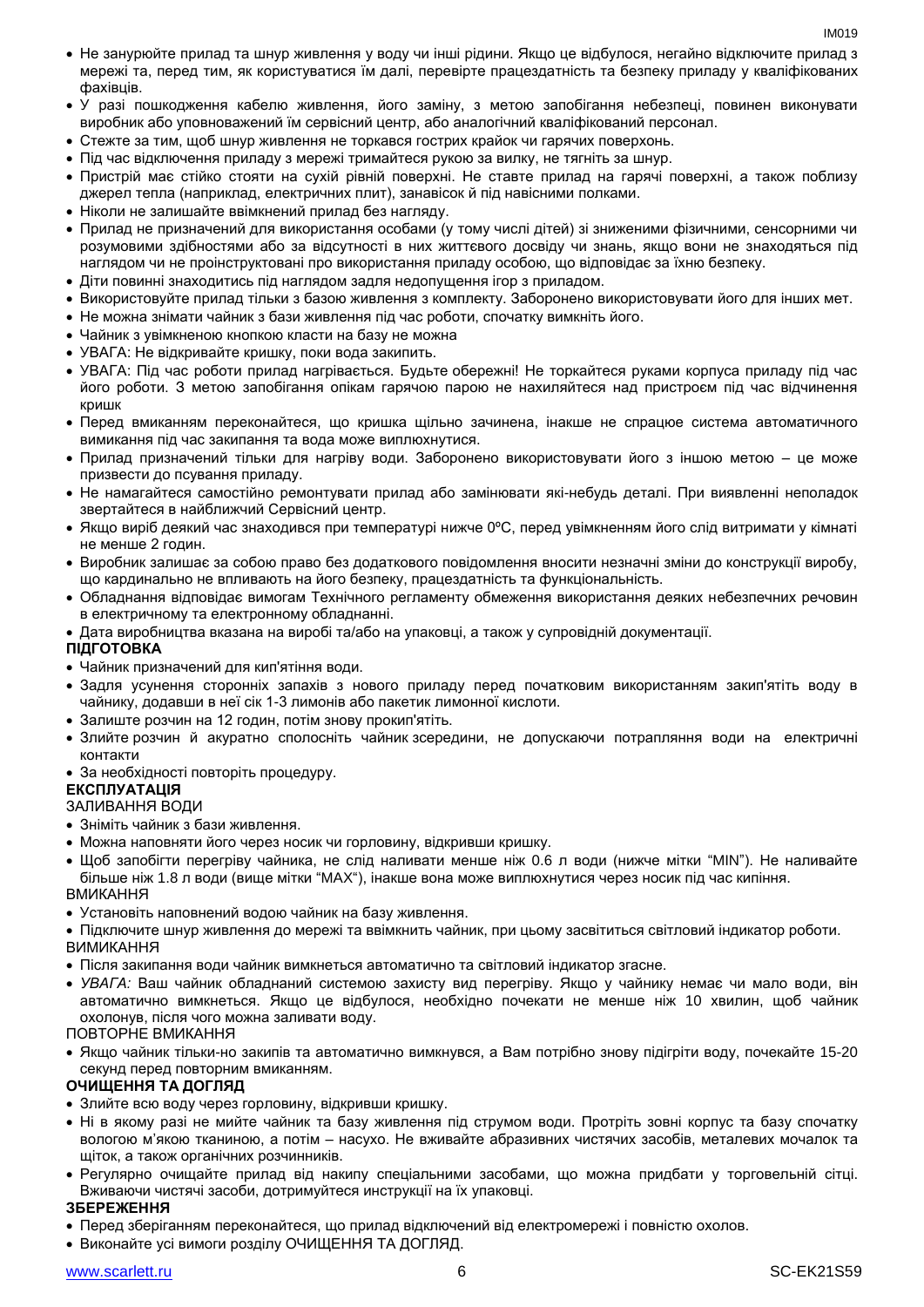- Не занурюйте прилад та шнур живлення у воду чи інші рідини. Якщо це відбулося, негайно відключите прилад з мережі та, перед тим, як користуватися їм далі, перевірте працездатність та безпеку приладу у кваліфікованих фахівців.
- У разі пошкодження кабелю живлення, його заміну, з метою запобігання небезпеці, повинен виконувати виробник або уповноважений їм сервісний центр, або аналогічний кваліфікований персонал.
- Стежте за тим, щоб шнур живлення не торкався гострих крайок чи гарячих поверхонь.
- Пiд час відключення приладу з мережі тримайтеся рукою за вилку, не тягніть за шнур.
- Пристрій має стійко стояти на сухій рiвній поверхні. Не ставте прилад на гарячі поверхні, а також поблизу джерел тепла (наприклад, електричних плит), занавісок й під навісними полками.
- Ніколи не залишайте ввімкнений прилад без нагляду.
- Прилад не призначений для використання особами (у тому числі дітей) зі зниженими фізичними, сенсорними чи розумовими здібностями або за відсутності в них життєвого досвіду чи знань, якщо вони не знаходяться під наглядом чи не проінструктовані про використання приладу особою, що відповідає за їхню безпеку.
- Діти повинні знаходитись під наглядом задля недопущення ігор з приладом.
- Використовуйте прилад тільки з базою живлення з комплекту. Заборонено використовувати його для iнших мет.
- Не можна знімати чайник з бази живлення пiд час роботи, спочатку вимкніть його.
- Чайник з увімкненою кнопкою класти на базу не можна
- УВАГА: Не відкривайте кришку, поки вода закипить.
- УВАГА: Під час роботи прилад нагрівається. Будьте обережні! Не торкайтеся руками корпуса приладу під час його роботи. З метою запобігання опікам гарячою парою не нахиляйтеся над пристроєм під час відчинення кришк
- Перед вмиканням переконайтеся, що кришка щільно зачинена, інакше не спрацюе система автоматичного вимикання пiд час закипання та вода може виплюхнутися.
- Прилад призначений тільки для нагріву води. Заборонено використовувати його з іншою метою це може призвести до псування приладу.
- Не намагайтеся самостійно ремонтувати прилад або замінювати які-небудь деталі. При виявленні неполадок звертайтеся в найближчий Сервісний центр.
- Якщо виріб деякий час знаходився при температурі нижче 0ºC, перед увімкненням його слід витримати у кімнаті не менше 2 годин.
- Виробник залишає за собою право без додаткового повідомлення вносити незначні зміни до конструкції виробу, що кардинально не впливають на його безпеку, працездатність та функціональність.
- Обладнання відповідає вимогам Технічного регламенту обмеження використання деяких небезпечних речовин в електричному та електронному обладнанні.
- Дата виробництва вказана на виробі та/або на упаковці, а також у супровідній документації.

#### **ПІДГОТОВКА**

- Чайник призначений для кип'ятіння води.
- Задля усунення сторонніх запахів з нового приладу перед початковим використанням закип'ятіть воду в чайнику, додавши в неї сік 1-3 лимонів або пакетик лимонної кислоти.
- Залиште розчин на 12 годин, потім знову прокип'ятіть.
- Злийте розчин й акуратно сполосніть чайник зсередини, не допускаючи потрапляння води на електричні контакти
- За необхідності повторіть процедуру.

## **ЕКСПЛУАТАЦІЯ**

- ЗАЛИВАННЯ ВОДИ
- Зніміть чайник з бази живлення.
- Можна наповняти його через носик чи горловину, відкривши кришку.
- Щоб запобігти перегріву чайника, не слiд наливати менше ніж 0.6 л води (нижче мітки "MIN"). Не наливайте більше ніж 1.8 л води (вище мітки "MAX"), інакше вона може виплюхнутися через носик пiд час кипіння. ВМИКАННЯ
- Установіть наповнений водою чайник на базу живлення.
- Підключите шнур живлення до мережі та ввімкнить чайник, при цьому засвітиться світловий індикатор роботи. ВИМИКАННЯ
- Після закипання води чайник вимкнеться автоматично та світловий індикатор згасне.
- *УВАГА:* Ваш чайник обладнаний системою захисту вид перегріву. Якщо у чайнику немає чи мало води, він автоматично вимкнеться. Якщо це відбулося, необхідно почекати не менше ніж 10 хвилин, щоб чайник охолонув, після чого можна заливати воду.

ПОВТОРНЕ ВМИКАННЯ

 Якщо чайник тільки-но закипів та автоматично вимкнувся, а Вам потрібно знову підігріти воду, почекайте 15-20 секунд перед повторним вмиканням.

#### **ОЧИЩЕННЯ ТА ДОГЛЯД**

- Злийте всю воду через горловину, відкривши кришку.
- Ні в якому разі не мийте чайник та базу живлення під струмом води. Протріть зовні корпус та базу спочатку вологою м'якою тканиною, а потім – насухо. Не вживайте абразивних чистячих засобів, металевих мочалок та щіток, а також органічних розчинників.
- Регулярно очищайте прилад від накипу спеціальними засобами, що можна придбати у торговельній сітці. Вживаючи чистячі засоби, дотримуйтеся инструкції на їх упаковці.

#### **ЗБЕРЕЖЕННЯ**

- Перед зберіганням переконайтеся, що прилад відключений від електромережі і повністю охолов.
- Виконайте усі вимоги розділу ОЧИЩЕННЯ ТА ДОГЛЯД.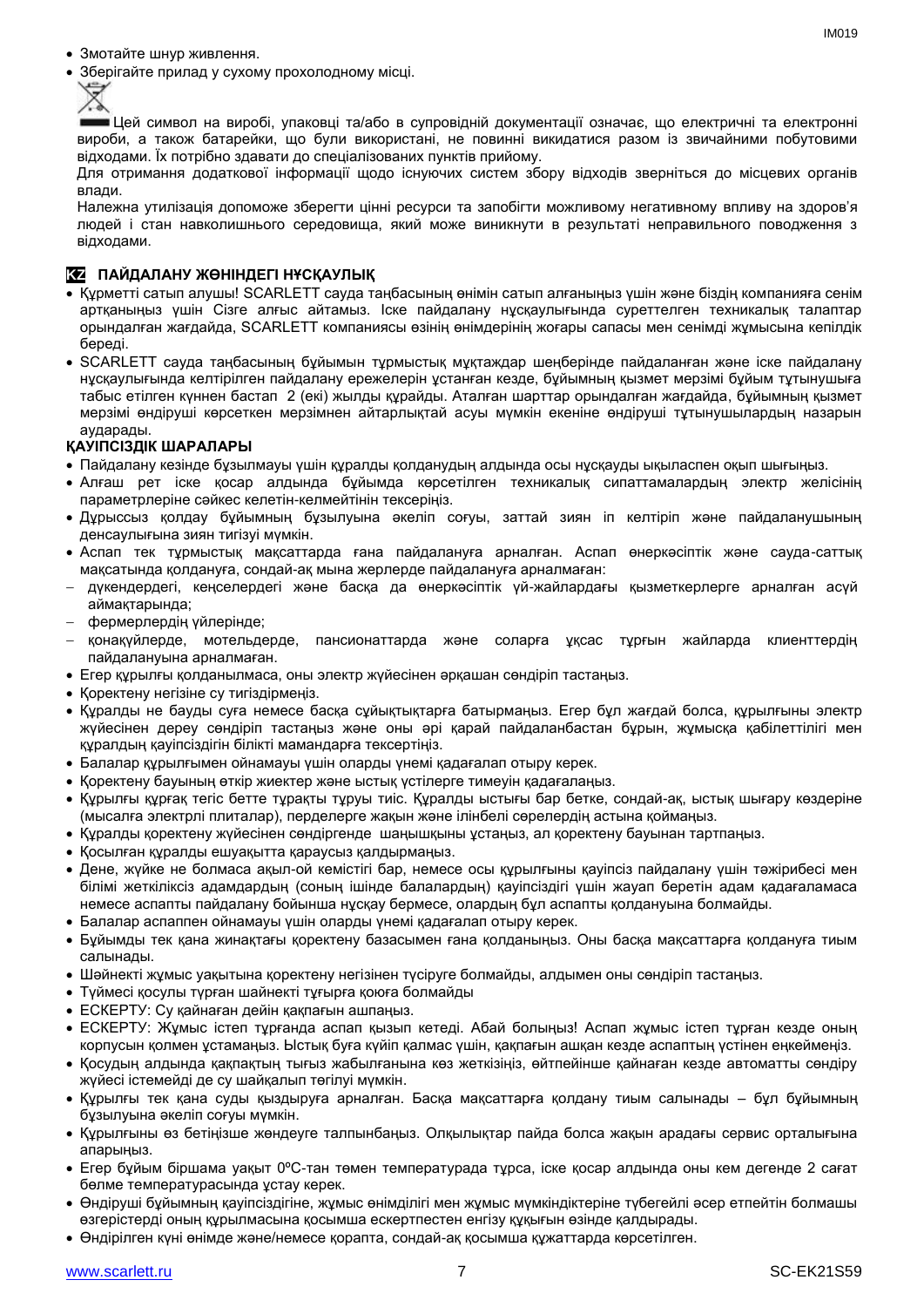- Змотайте шнур живлення.
- Зберігайте прилад у сухому прохолодному місці.



Цей символ на виробі, упаковці та/або в супровідній документації означає, що електричні та електронні вироби, а також батарейки, що були використані, не повинні викидатися разом із звичайними побутовими відходами. Їх потрібно здавати до спеціалізованих пунктів прийому.

Для отримання додаткової інформації щодо існуючих систем збору відходів зверніться до місцевих органів влади.

Належна утилізація допоможе зберегти цінні ресурси та запобігти можливому негативному впливу на здоров'я людей і стан навколишнього середовища, який може виникнути в результаті неправильного поводження з відходами.

#### **KZ ПАЙДАЛАНУ ЖӨНІНДЕГІ НҰСҚАУЛЫҚ**

- Құрметті сатып алушы! SCARLETT сауда таңбасының өнімін сатып алғаныңыз үшін және біздің компанияға сенім артқаныңыз үшін Сізге алғыс айтамыз. Іске пайдалану нұсқаулығында суреттелген техникалық талаптар орындалған жағдайда, SCARLETT компаниясы өзінің өнімдерінің жоғары сапасы мен сенімді жұмысына кепілдік береді.
- SCARLETT сауда таңбасының бұйымын тұрмыстық мұқтаждар шеңберінде пайдаланған және іске пайдалану нұсқаулығында келтірілген пайдалану ережелерін ұстанған кезде, бұйымның қызмет мерзімі бұйым тұтынушыға табыс етілген күннен бастап 2 (екі) жылды құрайды. Аталған шарттар орындалған жағдайда, бұйымның қызмет мерзімі өндіруші көрсеткен мерзімнен айтарлықтай асуы мүмкін екеніне өндіруші тұтынушылардың назарын аударады.

#### **ҚАУІПСІЗДІК ШАРАЛАРЫ**

- Пайдалану кезінде бұзылмауы үшін құралды қолданудың алдында осы нұсқауды ықыласпен оқып шығыңыз.
- Алғаш рет іске қосар алдында бұйымда көрсетілген техникалық сипаттамалардың электр желісінің параметрлеріне сәйкес келетін-келмейтінін тексеріңіз.
- Дұрыссыз қолдау бұйымның бұзылуына әкеліп соғуы, заттай зиян іп келтіріп және пайдаланушының денсаулығына зиян тигізуі мүмкін.
- Аспап тек тұрмыстық мақсаттарда ғана пайдалануға арналған. Аспап өнеркәсіптік және сауда-саттық мақсатында қолдануға, сондай-ақ мына жерлерде пайдалануға арналмаған:
- дүкендердегі, кеңселердегі және басқа да өнеркәсіптік үй-жайлардағы қызметкерлерге арналған асүй аймақтарында;
- фермерлердің үйлерінде;
- қонақүйлерде, мотельдерде, пансионаттарда және соларға ұқсас тұрғын жайларда клиенттердің пайдалануына арналмаған.
- Егер құрылғы қолданылмаса, оны электр жүйесінен әрқашан сөндіріп тастаңыз.
- Қоректену негізіне су тигіздірмеңіз.
- Құралды не бауды суға немесе басқа сұйықтықтарға батырмаңыз. Егер бұл жағдай болса, құрылғыны электр жүйесінен дереу сөндіріп тастаңыз және оны әрі қарай пайдаланбастан бұрын, жұмысқа қабілеттілігі мен құралдың қауіпсіздігін білікті мамандарға тексертіңіз.
- Балалар құрылғымен ойнамауы үшін оларды үнемі қадағалап отыру керек.
- Қоректену бауының өткір жиектер және ыстық үстілерге тимеуін қадағалаңыз.
- Құрылғы құрғақ тегіс бетте тұрақты тұруы тиіс. Құралды ыстығы бар бетке, сондай-ақ, ыстық шығару көздеріне (мысалға электрлі плиталар), перделерге жақын және ілінбелі сөрелердің астына қоймаңыз.
- Құралды қоректену жүйесінен сөндіргенде шаңышқыны ұстаңыз, ал қоректену бауынан тартпаңыз.
- Қосылған құралды ешуақытта қараусыз қалдырмаңыз.
- Дене, жүйке не болмаса ақыл-ой кемістігі бар, немесе осы құрылғыны қауіпсіз пайдалану үшін тәжірибесі мен білімі жеткіліксіз адамдардың (соның ішінде балалардың) қауіпсіздігі үшін жауап беретін адам қадағаламаса немесе аспапты пайдалану бойынша нұсқау бермесе, олардың бұл аспапты қолдануына болмайды.
- Балалар аспаппен ойнамауы үшін оларды үнемі қадағалап отыру керек.
- Бұйымды тек қана жинақтағы қоректену базасымен ғана қолданыңыз. Оны басқа мақсаттарға қолдануға тиым салынады.
- Шәйнекті жұмыс уақытына қоректену негізінен түсіруге болмайды, алдымен оны сөндіріп тастаңыз.
- Түймесі қосулы түрған шайнекті тұғырға қоюға болмайды
- ЕСКЕРТУ: Су қайнаған дейін қақпағын ашпаңыз.
- ЕСКЕРТУ: Жұмыс істеп тұрғанда аспап қызып кетеді. Абай болыңыз! Аспап жұмыс істеп тұрған кезде оның корпусын қолмен ұстамаңыз. Ыстық буға күйіп қалмас үшін, қақпағын ашқан кезде аспаптың үстінен еңкеймеңіз.
- Қосудың алдында қақпақтың тығыз жабылғанына көз жеткізіңіз, өйтпейінше қайнаған кезде автоматты сөндіру жүйесі істемейді де су шайқалып төгілуі мүмкін.
- Құрылғы тек қана суды қыздыруға арналған. Басқа мақсаттарға қолдану тиым салынады бұл бұйымның бұзылуына әкеліп соғуы мүмкін.
- Құрылғыны өз бетіңізше жөндеуге талпынбаңыз. Олқылықтар пайда болса жақын арадағы сервис орталығына апарыңыз.
- Егер бұйым біршама уақыт 0ºC-тан төмен температурада тұрса, іске қосар алдында оны кем дегенде 2 сағат бөлме температурасында ұстау керек.
- Өндіруші бұйымның қауіпсіздігіне, жұмыс өнімділігі мен жұмыс мүмкіндіктеріне түбегейлі әсер етпейтін болмашы өзгерістерді оның құрылмасына қосымша ескертпестен енгізу құқығын өзінде қалдырады.
- Өндірілген күні өнімде және/немесе қорапта, сондай-ақ қосымша құжаттарда көрсетілген.